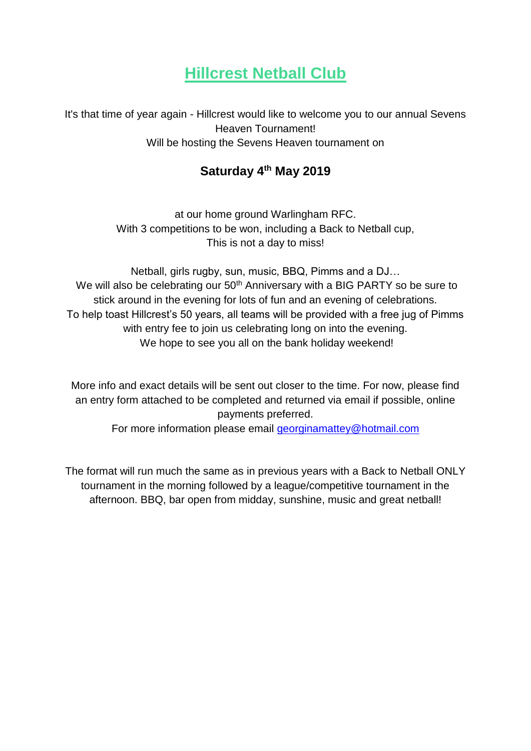## **Hillcrest Netball Club**

It's that time of year again - Hillcrest would like to welcome you to our annual Sevens Heaven Tournament! Will be hosting the Sevens Heaven tournament on

### **Saturday 4th May 2019**

at our home ground Warlingham RFC. With 3 competitions to be won, including a Back to Netball cup, This is not a day to miss!

Netball, girls rugby, sun, music, BBQ, Pimms and a DJ… We will also be celebrating our 50<sup>th</sup> Anniversary with a BIG PARTY so be sure to stick around in the evening for lots of fun and an evening of celebrations. To help toast Hillcrest's 50 years, all teams will be provided with a free jug of Pimms with entry fee to join us celebrating long on into the evening. We hope to see you all on the bank holiday weekend!

More info and exact details will be sent out closer to the time. For now, please find an entry form attached to be completed and returned via email if possible, online payments preferred.

For more information please email [georginamattey@hotmail.com](mailto:georginamattey@hotmail.com)

The format will run much the same as in previous years with a Back to Netball ONLY tournament in the morning followed by a league/competitive tournament in the afternoon. BBQ, bar open from midday, sunshine, music and great netball!